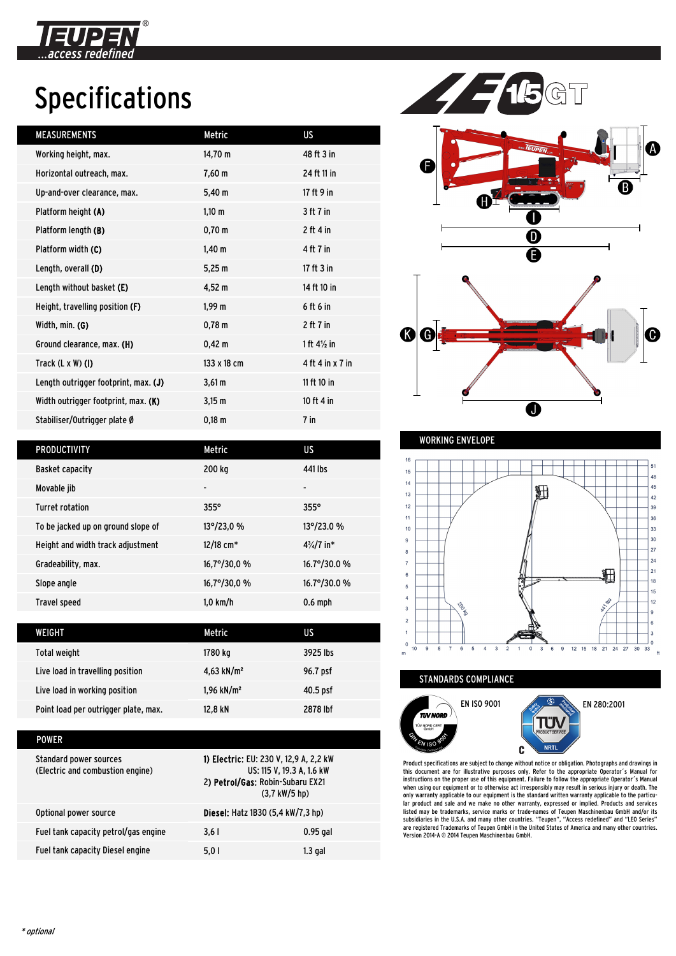

# Specifications

| <b>MEASUREMENTS</b>                  | Metric             | <b>US</b>              |
|--------------------------------------|--------------------|------------------------|
| Working height, max.                 | 14,70 m            | 48 ft 3 in             |
| Horizontal outreach, max.            | $7,60 \; m$        | 24 ft 11 in            |
| Up-and-over clearance, max.          | $5,40 \; m$        | 17 ft 9 in             |
| Platform height (A)                  | $1,10 \; m$        | 3 ft 7 in              |
| Platform length (B)                  | $0,70 \; m$        | $2$ ft 4 in            |
| Platform width (C)                   | $1,40 \; m$        | 4 ft 7 in              |
| Length, overall (D)                  | 5,25 m             | 17 ft $3$ in           |
| Length without basket (E)            | $4,52 \; m$        | 14 ft 10 in            |
| Height, travelling position (F)      | 1,99 m             | 6 ft 6 in              |
| Width, min. (G)                      | $0,78 \text{ m}$   | $2$ ft $7$ in          |
| Ground clearance, max. (H)           | $0,42 \, m$        | 1 ft $4\frac{1}{2}$ in |
| Track $(L \times W)$ (I)             | 133 x 18 cm        | 4 ft 4 in x 7 in       |
| Length outrigger footprint, max. (J) | $3,61 \, \text{m}$ | 11 ft 10 in            |
| Width outrigger footprint, max. (K)  | $3,15 \, m$        | 10 ft 4 in             |
| Stabiliser/Outrigger plate Ø         | $0,18 \; m$        | $7$ in                 |
|                                      |                    |                        |



| <b>PRODUCTIVITY</b>                | Metric                  | US                    |
|------------------------------------|-------------------------|-----------------------|
| <b>Basket capacity</b>             | 200 kg                  | 441 lbs               |
| Movable jib                        | $\blacksquare$          | ٠                     |
| <b>Turret rotation</b>             | $355^\circ$             | $355^\circ$           |
| To be jacked up on ground slope of | $13^{\circ}/23.0$ %     | 13°/23.0 %            |
| Height and width track adjustment  | $12/18$ cm <sup>*</sup> | $4\frac{3}{4}$ /7 in* |
| Gradeability, max.                 | $16,7^{\circ}/30,0%$    | $16.7^{\circ}/30.0%$  |
| Slope angle                        | $16,7^{\circ}/30,0%$    | 16.7°/30.0 %          |
| <b>Travel speed</b>                | $1,0$ km/h              | $0.6$ mph             |

| WEIGHT                               | Metric                   | US         |
|--------------------------------------|--------------------------|------------|
| Total weight                         | 1780 kg                  | 3925 lbs   |
| Live load in travelling position     | 4,63 kN/m <sup>2</sup>   | 96.7 psf   |
| Live load in working position        | $1,96$ kN/m <sup>2</sup> | $40.5$ psf |
| Point load per outrigger plate, max. | 12.8 kN                  | 2878 lbf   |

| POWER                                                      |                                                                                                                                            |            |
|------------------------------------------------------------|--------------------------------------------------------------------------------------------------------------------------------------------|------------|
| Standard power sources<br>(Electric and combustion engine) | 1) Electric: EU: 230 V, 12,9 A, 2,2 kW<br>US: 115 V, 19.3 A, 1.6 kW<br>2) Petrol/Gas: Robin-Subaru EX21<br>$(3.7 \text{ kW}/5 \text{ hp})$ |            |
| Optional power source                                      | <b>Diesel:</b> Hatz 1B30 (5,4 kW/7,3 hp)                                                                                                   |            |
| Fuel tank capacity petrol/gas engine                       | 3.61                                                                                                                                       | $0.95$ gal |
| Fuel tank capacity Diesel engine                           | 5.01                                                                                                                                       | 1.3 gal    |

WORKING ENVELOPE



STANDARDS COMPLIANCE



Product specifications are subject to change without notice or obligation. Photographs and drawings in this document are for illustrative purposes only. Refer to the appropriate Operator´s Manual for<br>instructions on the proper use of this equipment. Failure to follow the appropriate Operator´s Manual<br>when using our equipmen only warranty applicable to our equipment is the standard written warranty applicable to the particu-lar product and sale and we make no other warranty, expressed or implied. Products and services listed may be trademarks, service marks or trade-names of Teupen Maschinenbau GmbH and/or its<br>subsidiaries in the U.S.A. and many other countries. "Teupen", "Access redefined" and "LEO Series"<br>are registered Trademarks of